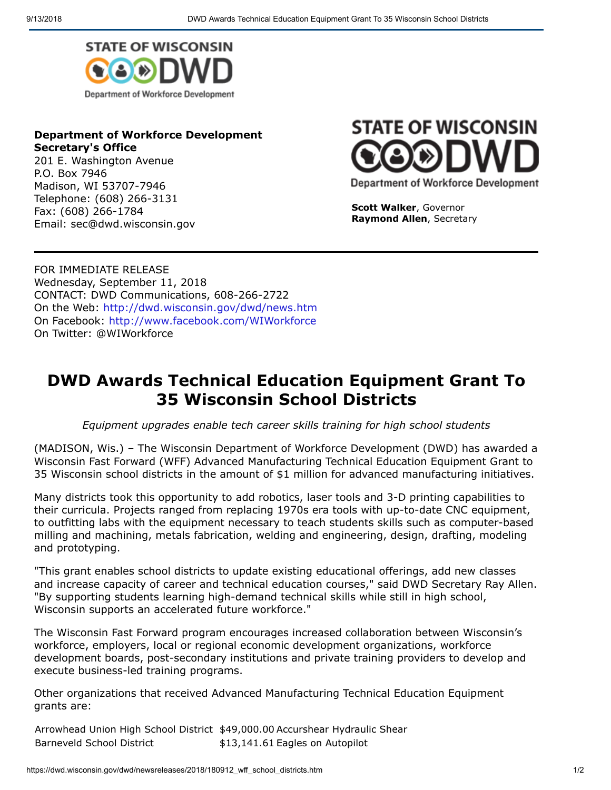

## **Department of Workforce Development Secretary's Office**

201 E. Washington Avenue P.O. Box 7946 Madison, WI 53707-7946 Telephone: (608) 266-3131 Fax: (608) 266-1784 Email: sec@dwd.wisconsin.gov



**Scott Walker**, Governor **Raymond Allen**, Secretary

FOR IMMEDIATE RELEASE Wednesday, September 11, 2018 CONTACT: DWD Communications, 608-266-2722 On the Web:<http://dwd.wisconsin.gov/dwd/news.htm> On Facebook:<http://www.facebook.com/WIWorkforce> On Twitter: @WIWorkforce

## **DWD Awards Technical Education Equipment Grant To 35 Wisconsin School Districts**

*Equipment upgrades enable tech career skills training for high school students*

(MADISON, Wis.) – The Wisconsin Department of Workforce Development (DWD) has awarded a Wisconsin Fast Forward (WFF) Advanced Manufacturing Technical Education Equipment Grant to 35 Wisconsin school districts in the amount of \$1 million for advanced manufacturing initiatives.

Many districts took this opportunity to add robotics, laser tools and 3-D printing capabilities to their curricula. Projects ranged from replacing 1970s era tools with up-to-date CNC equipment, to outfitting labs with the equipment necessary to teach students skills such as computer-based milling and machining, metals fabrication, welding and engineering, design, drafting, modeling and prototyping.

"This grant enables school districts to update existing educational offerings, add new classes and increase capacity of career and technical education courses," said DWD Secretary Ray Allen. "By supporting students learning high-demand technical skills while still in high school, Wisconsin supports an accelerated future workforce."

The Wisconsin Fast Forward program encourages increased collaboration between Wisconsin's workforce, employers, local or regional economic development organizations, workforce development boards, post-secondary institutions and private training providers to develop and execute business-led training programs.

Other organizations that received Advanced Manufacturing Technical Education Equipment grants are:

Arrowhead Union High School District \$49,000.00 Accurshear Hydraulic Shear Barneveld School District \$13,141.61 Eagles on Autopilot